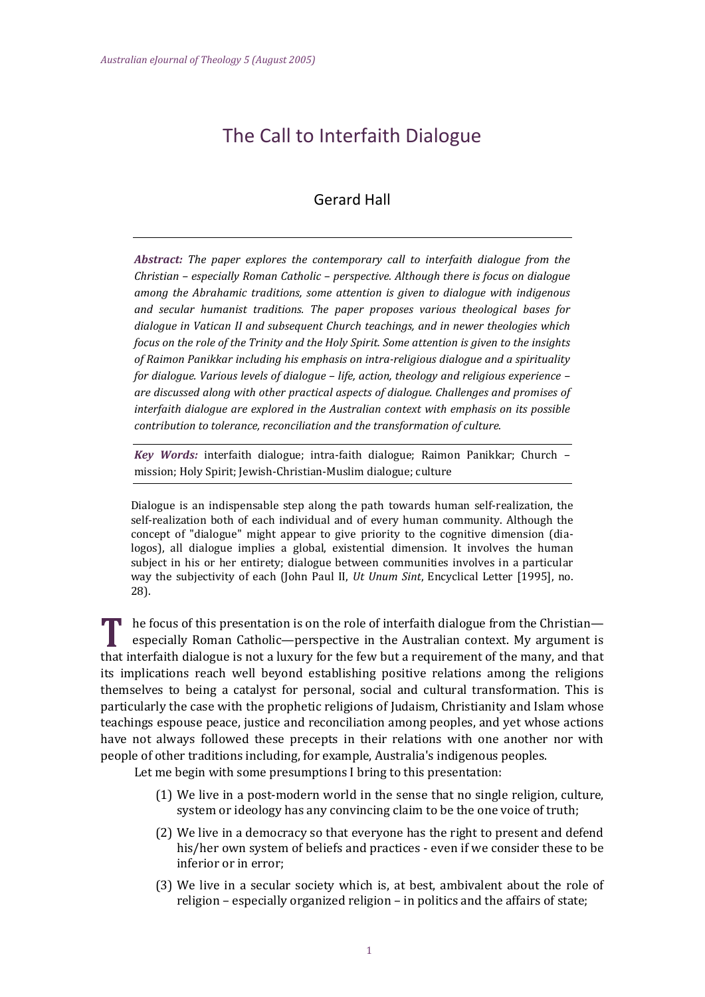# The Call to Interfaith Dialogue

# Gerard Hall

*Abstract: The paper explores the contemporary call to interfaith dialogue from the Christian – especially Roman Catholic – perspective. Although there is focus on dialogue among the Abrahamic traditions, some attention is given to dialogue with indigenous and secular humanist traditions. The paper proposes various theological bases for dialogue in Vatican II and subsequent Church teachings, and in newer theologies which focus on the role of the Trinity and the Holy Spirit. Some attention is given to the insights of Raimon Panikkar including his emphasis on intra-religious dialogue and a spirituality for dialogue. Various levels of dialogue – life, action, theology and religious experience – are discussed along with other practical aspects of dialogue. Challenges and promises of interfaith dialogue are explored in the Australian context with emphasis on its possible contribution to tolerance, reconciliation and the transformation of culture.*

*Key Words:* interfaith dialogue; intra-faith dialogue; Raimon Panikkar; Church – mission; Holy Spirit; Jewish-Christian-Muslim dialogue; culture

Dialogue is an indispensable step along the path towards human self-realization, the self-realization both of each individual and of every human community. Although the concept of "dialogue" might appear to give priority to the cognitive dimension (dialogos), all dialogue implies a global, existential dimension. It involves the human subject in his or her entirety; dialogue between communities involves in a particular way the subjectivity of each (John Paul II, *Ut Unum Sint*, Encyclical Letter [1995], no. 28).

**he focus of this presentation is on the role of interfaith dialogue from the Christian** especially Roman Catholic—perspective in the Australian context. My argument is that interfaith dialogue is not a luxury for the few but a requirement of the many, and that its implications reach well beyond establishing positive relations among the religions themselves to being a catalyst for personal, social and cultural transformation. This is particularly the case with the prophetic religions of Judaism, Christianity and Islam whose teachings espouse peace, justice and reconciliation among peoples, and yet whose actions have not always followed these precepts in their relations with one another nor with people of other traditions including, for example, Australia's indigenous peoples.

Let me begin with some presumptions I bring to this presentation:

- (1) We live in a post-modern world in the sense that no single religion, culture, system or ideology has any convincing claim to be the one voice of truth;
- (2) We live in a democracy so that everyone has the right to present and defend his/her own system of beliefs and practices - even if we consider these to be inferior or in error;
- (3) We live in a secular society which is, at best, ambivalent about the role of religion – especially organized religion – in politics and the affairs of state;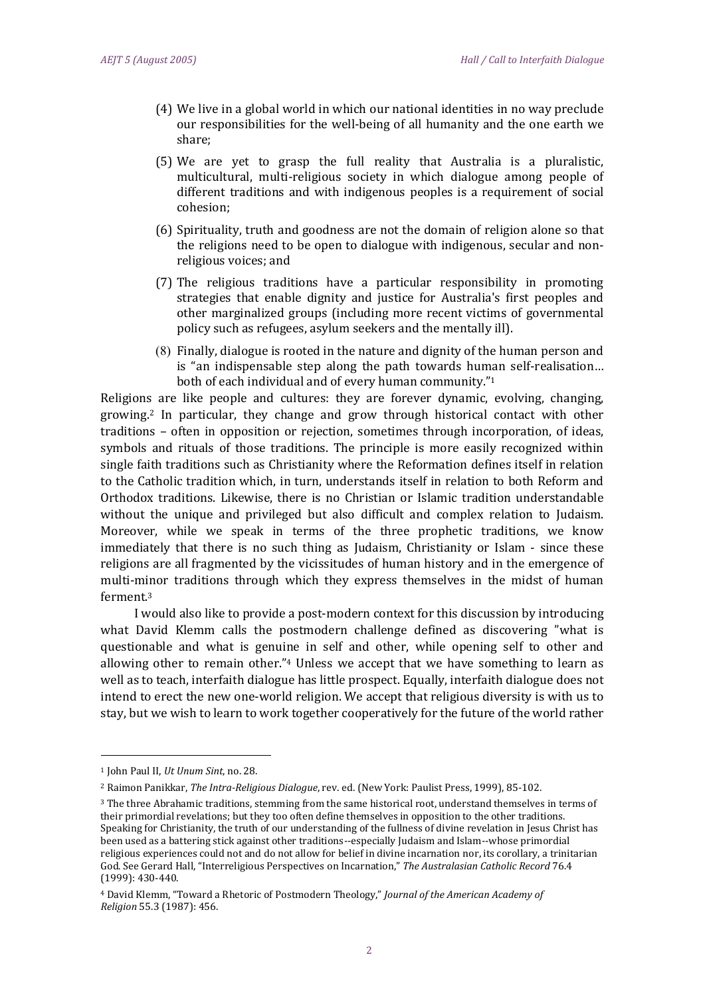- (4) We live in a global world in which our national identities in no way preclude our responsibilities for the well-being of all humanity and the one earth we share;
- (5) We are yet to grasp the full reality that Australia is a pluralistic, multicultural, multi-religious society in which dialogue among people of different traditions and with indigenous peoples is a requirement of social cohesion;
- (6) Spirituality, truth and goodness are not the domain of religion alone so that the religions need to be open to dialogue with indigenous, secular and nonreligious voices; and
- (7) The religious traditions have a particular responsibility in promoting strategies that enable dignity and justice for Australia's first peoples and other marginalized groups (including more recent victims of governmental policy such as refugees, asylum seekers and the mentally ill).
- (8) Finally, dialogue is rooted in the nature and dignity of the human person and is "an indispensable step along the path towards human self-realisation… both of each individual and of every human community."<sup>1</sup>

Religions are like people and cultures: they are forever dynamic, evolving, changing, growing.<sup>2</sup> In particular, they change and grow through historical contact with other traditions – often in opposition or rejection, sometimes through incorporation, of ideas, symbols and rituals of those traditions. The principle is more easily recognized within single faith traditions such as Christianity where the Reformation defines itself in relation to the Catholic tradition which, in turn, understands itself in relation to both Reform and Orthodox traditions. Likewise, there is no Christian or Islamic tradition understandable without the unique and privileged but also difficult and complex relation to Judaism. Moreover, while we speak in terms of the three prophetic traditions, we know immediately that there is no such thing as Judaism, Christianity or Islam - since these religions are all fragmented by the vicissitudes of human history and in the emergence of multi-minor traditions through which they express themselves in the midst of human ferment.<sup>3</sup>

I would also like to provide a post-modern context for this discussion by introducing what David Klemm calls the postmodern challenge defined as discovering "what is questionable and what is genuine in self and other, while opening self to other and allowing other to remain other."<sup>4</sup> Unless we accept that we have something to learn as well as to teach, interfaith dialogue has little prospect. Equally, interfaith dialogue does not intend to erect the new one-world religion. We accept that religious diversity is with us to stay, but we wish to learn to work together cooperatively for the future of the world rather

-

<sup>1</sup> John Paul II, *Ut Unum Sint*, no. 28.

<sup>2</sup> Raimon Panikkar, *The Intra-Religious Dialogue*, rev. ed. (New York: Paulist Press, 1999), 85-102.

<sup>3</sup> The three Abrahamic traditions, stemming from the same historical root, understand themselves in terms of their primordial revelations; but they too often define themselves in opposition to the other traditions. Speaking for Christianity, the truth of our understanding of the fullness of divine revelation in Jesus Christ has been used as a battering stick against other traditions--especially Judaism and Islam--whose primordial religious experiences could not and do not allow for belief in divine incarnation nor, its corollary, a trinitarian God. See Gerard Hall, "Interreligious Perspectives on Incarnation," *The Australasian Catholic Record* 76.4 (1999): 430-440.

<sup>4</sup> David Klemm, "Toward a Rhetoric of Postmodern Theology," *Journal of the American Academy of Religion* 55.3 (1987): 456.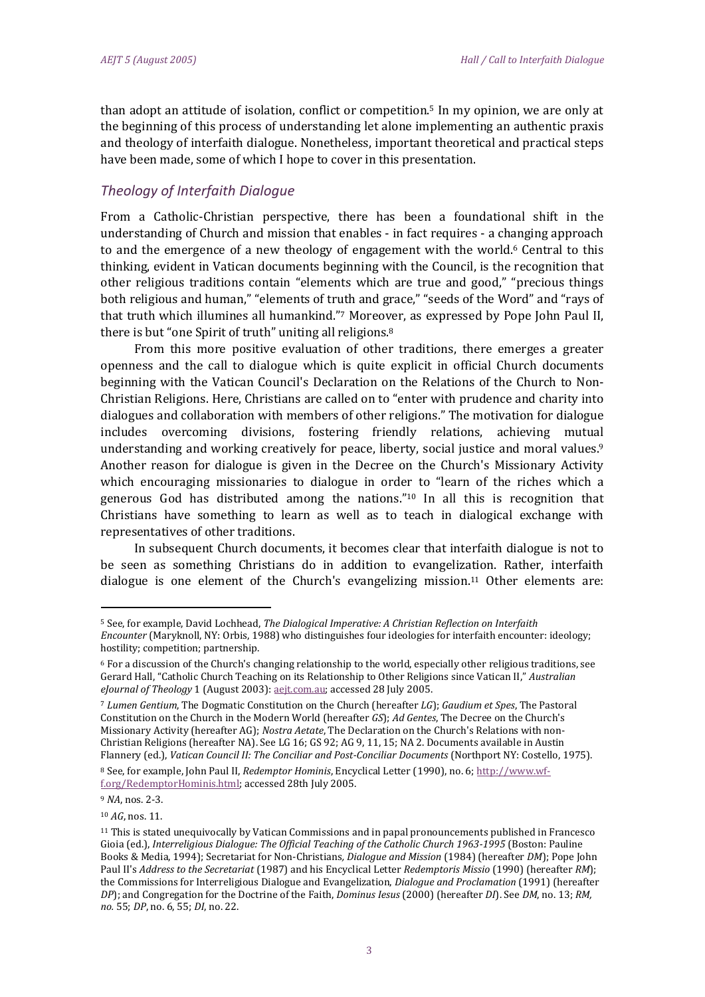than adopt an attitude of isolation, conflict or competition.<sup>5</sup> In my opinion, we are only at the beginning of this process of understanding let alone implementing an authentic praxis and theology of interfaith dialogue. Nonetheless, important theoretical and practical steps have been made, some of which I hope to cover in this presentation.

## *Theology of Interfaith Dialogue*

From a Catholic-Christian perspective, there has been a foundational shift in the understanding of Church and mission that enables - in fact requires - a changing approach to and the emergence of a new theology of engagement with the world.<sup>6</sup> Central to this thinking, evident in Vatican documents beginning with the Council, is the recognition that other religious traditions contain "elements which are true and good," "precious things both religious and human," "elements of truth and grace," "seeds of the Word" and "rays of that truth which illumines all humankind."<sup>7</sup> Moreover, as expressed by Pope John Paul II, there is but "one Spirit of truth" uniting all religions.<sup>8</sup>

From this more positive evaluation of other traditions, there emerges a greater openness and the call to dialogue which is quite explicit in official Church documents beginning with the Vatican Council's Declaration on the Relations of the Church to Non-Christian Religions. Here, Christians are called on to "enter with prudence and charity into dialogues and collaboration with members of other religions." The motivation for dialogue includes overcoming divisions, fostering friendly relations, achieving mutual understanding and working creatively for peace, liberty, social justice and moral values.<sup>9</sup> Another reason for dialogue is given in the Decree on the Church's Missionary Activity which encouraging missionaries to dialogue in order to "learn of the riches which a generous God has distributed among the nations."<sup>10</sup> In all this is recognition that Christians have something to learn as well as to teach in dialogical exchange with representatives of other traditions.

In subsequent Church documents, it becomes clear that interfaith dialogue is not to be seen as something Christians do in addition to evangelization. Rather, interfaith dialogue is one element of the Church's evangelizing mission.<sup>11</sup> Other elements are:

<u>.</u>

<sup>5</sup> See, for example, David Lochhead, *The Dialogical Imperative: A Christian Reflection on Interfaith Encounter* (Maryknoll, NY: Orbis, 1988) who distinguishes four ideologies for interfaith encounter: ideology; hostility; competition; partnership.

<sup>6</sup> For a discussion of the Church's changing relationship to the world, especially other religious traditions, see Gerard Hall, "Catholic Church Teaching on its Relationship to Other Religions since Vatican II," *Australian eJournal of Theology* 1 (August 2003): aejt.com.au; accessed 28 July 2005.

<sup>7</sup> *Lumen Gentium*, The Dogmatic Constitution on the Church (hereafter *LG*); *Gaudium et Spes*, The Pastoral Constitution on the Church in the Modern World (hereafter *GS*); *Ad Gentes*, The Decree on the Church's Missionary Activity (hereafter AG); *Nostra Aetate*, The Declaration on the Church's Relations with non-Christian Religions (hereafter NA). See LG 16; GS 92; AG 9, 11, 15; NA 2. Documents available in Austin Flannery (ed.), *Vatican Council II: The Conciliar and Post-Conciliar Documents* (Northport NY: Costello, 1975).

<sup>8</sup> See, for example, John Paul II, *Redemptor Hominis*, Encyclical Letter (1990), no. 6[; http://www.wf](http://www.wf-f.org/RedemptorHominis.html)[f.org/RedemptorHominis.html;](http://www.wf-f.org/RedemptorHominis.html) accessed 28th July 2005.

<sup>9</sup> *NA*, nos. 2-3.

<sup>10</sup> *AG*, nos. 11.

<sup>11</sup> This is stated unequivocally by Vatican Commissions and in papal pronouncements published in Francesco Gioia (ed.), *Interreligious Dialogue: The Official Teaching of the Catholic Church 1963-1995* (Boston: Pauline Books & Media, 1994); Secretariat for Non-Christians*, Dialogue and Mission* (1984) (hereafter *DM*); Pope John Paul II's *Address to the Secretariat* (1987) and his Encyclical Letter *Redemptoris Missio* (1990) (hereafter *RM*); the Commissions for Interreligious Dialogue and Evangelization, *Dialogue and Proclamation* (1991) (hereafter *DP*); and Congregation for the Doctrine of the Faith, *Dominus Iesus* (2000) (hereafter *DI*). See *DM*, no. 13; *RM, no.* 55; *DP*, no. 6, 55; *DI*, no. 22.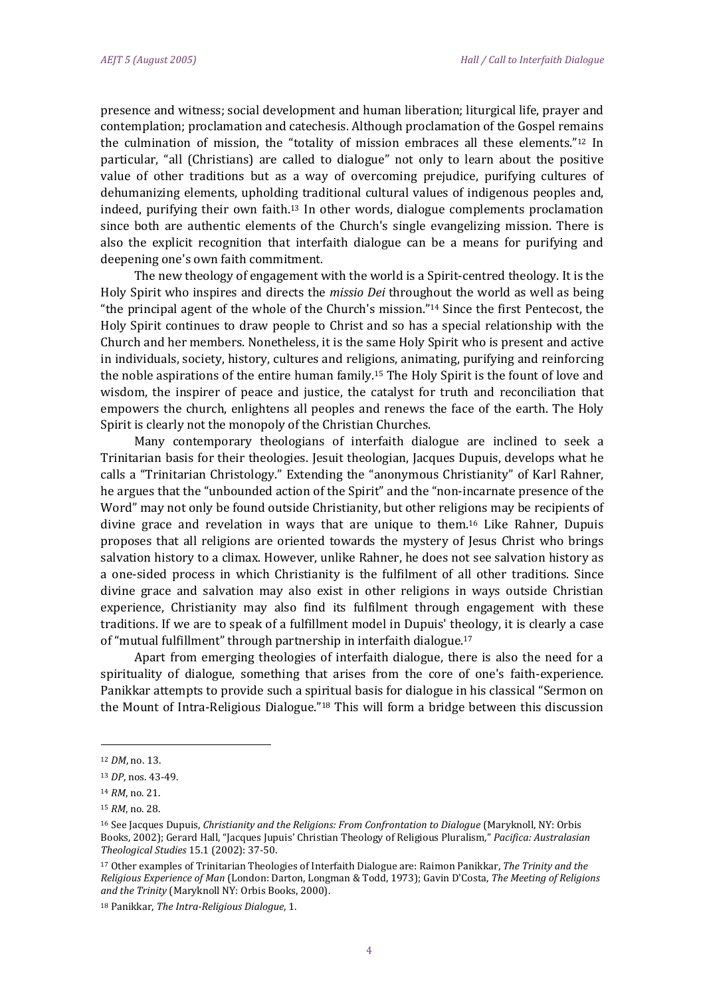presence and witness; social development and human liberation; liturgical life, prayer and contemplation; proclamation and catechesis. Although proclamation of the Gospel remains the culmination of mission, the "totality of mission embraces all these elements."<sup>12</sup> In particular, "all (Christians) are called to dialogue" not only to learn about the positive value of other traditions but as a way of overcoming prejudice, purifying cultures of dehumanizing elements, upholding traditional cultural values of indigenous peoples and, indeed, purifying their own faith.<sup>13</sup> In other words, dialogue complements proclamation since both are authentic elements of the Church's single evangelizing mission. There is also the explicit recognition that interfaith dialogue can be a means for purifying and deepening one's own faith commitment.

The new theology of engagement with the world is a Spirit-centred theology. It is the Holy Spirit who inspires and directs the *missio Dei* throughout the world as well as being "the principal agent of the whole of the Church's mission."<sup>14</sup> Since the first Pentecost, the Holy Spirit continues to draw people to Christ and so has a special relationship with the Church and her members. Nonetheless, it is the same Holy Spirit who is present and active in individuals, society, history, cultures and religions, animating, purifying and reinforcing the noble aspirations of the entire human family.<sup>15</sup> The Holy Spirit is the fount of love and wisdom, the inspirer of peace and justice, the catalyst for truth and reconciliation that empowers the church, enlightens all peoples and renews the face of the earth. The Holy Spirit is clearly not the monopoly of the Christian Churches.

Many contemporary theologians of interfaith dialogue are inclined to seek a Trinitarian basis for their theologies. Jesuit theologian, Jacques Dupuis, develops what he calls a "Trinitarian Christology." Extending the "anonymous Christianity" of Karl Rahner, he argues that the "unbounded action of the Spirit" and the "non-incarnate presence of the Word" may not only be found outside Christianity, but other religions may be recipients of divine grace and revelation in ways that are unique to them.<sup>16</sup> Like Rahner, Dupuis proposes that all religions are oriented towards the mystery of Jesus Christ who brings salvation history to a climax. However, unlike Rahner, he does not see salvation history as a one-sided process in which Christianity is the fulfilment of all other traditions. Since divine grace and salvation may also exist in other religions in ways outside Christian experience, Christianity may also find its fulfilment through engagement with these traditions. If we are to speak of a fulfillment model in Dupuis' theology, it is clearly a case of "mutual fulfillment" through partnership in interfaith dialogue.<sup>17</sup>

Apart from emerging theologies of interfaith dialogue, there is also the need for a spirituality of dialogue, something that arises from the core of one's faith-experience. Panikkar attempts to provide such a spiritual basis for dialogue in his classical "Sermon on the Mount of Intra-Religious Dialogue."<sup>18</sup> This will form a bridge between this discussion

-

<sup>18</sup> Panikkar, *The Intra-Religious Dialogue*, 1.

<sup>12</sup> *DM*, no. 13.

<sup>13</sup> *DP*, nos. 43-49.

<sup>14</sup> *RM*, no. 21.

<sup>15</sup> *RM*, no. 28.

<sup>16</sup> See Jacques Dupuis, *Christianity and the Religions: From Confrontation to Dialogue* (Maryknoll, NY: Orbis Books, 2002); Gerard Hall, "Jacques Jupuis' Christian Theology of Religious Pluralism," *Pacifica: Australasian Theological Studies* 15.1 (2002): 37-50.

<sup>17</sup> Other examples of Trinitarian Theologies of Interfaith Dialogue are: Raimon Panikkar, *The Trinity and the Religious Experience of Man* (London: Darton, Longman & Todd, 1973); Gavin D'Costa, *The Meeting of Religions and the Trinity* (Maryknoll NY: Orbis Books, 2000).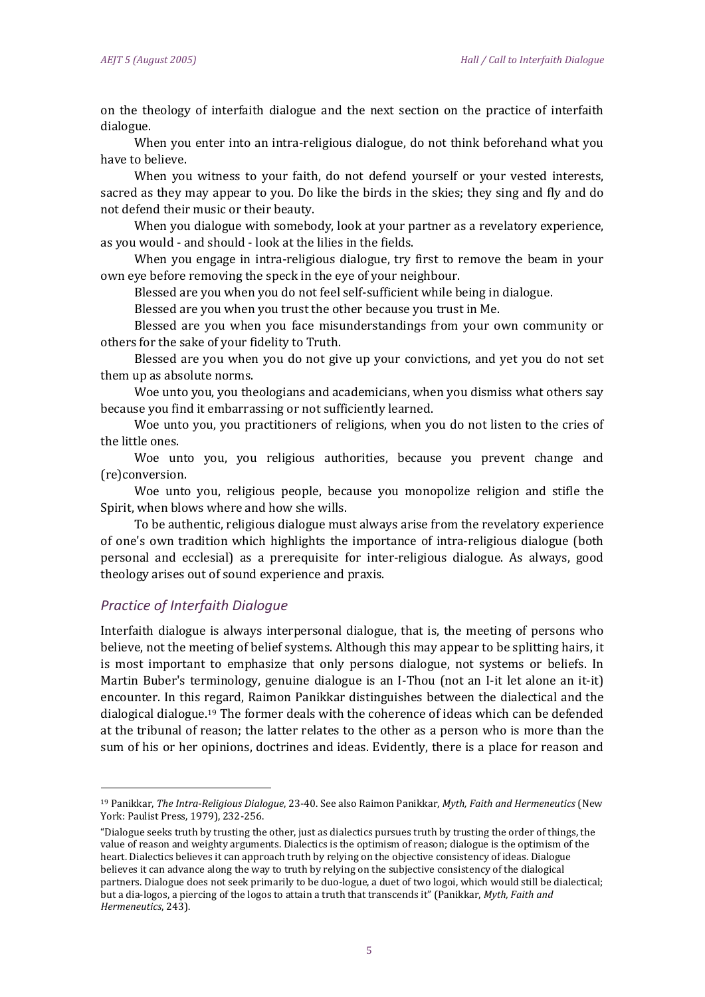on the theology of interfaith dialogue and the next section on the practice of interfaith dialogue.

When you enter into an intra-religious dialogue, do not think beforehand what you have to believe.

When you witness to your faith, do not defend yourself or your vested interests, sacred as they may appear to you. Do like the birds in the skies; they sing and fly and do not defend their music or their beauty.

When you dialogue with somebody, look at your partner as a revelatory experience, as you would - and should - look at the lilies in the fields.

When you engage in intra-religious dialogue, try first to remove the beam in your own eye before removing the speck in the eye of your neighbour.

Blessed are you when you do not feel self-sufficient while being in dialogue.

Blessed are you when you trust the other because you trust in Me.

Blessed are you when you face misunderstandings from your own community or others for the sake of your fidelity to Truth.

Blessed are you when you do not give up your convictions, and yet you do not set them up as absolute norms.

Woe unto you, you theologians and academicians, when you dismiss what others say because you find it embarrassing or not sufficiently learned.

Woe unto you, you practitioners of religions, when you do not listen to the cries of the little ones.

Woe unto you, you religious authorities, because you prevent change and (re)conversion.

Woe unto you, religious people, because you monopolize religion and stifle the Spirit, when blows where and how she wills.

To be authentic, religious dialogue must always arise from the revelatory experience of one's own tradition which highlights the importance of intra-religious dialogue (both personal and ecclesial) as a prerequisite for inter-religious dialogue. As always, good theology arises out of sound experience and praxis.

### *Practice of Interfaith Dialogue*

<u>.</u>

Interfaith dialogue is always interpersonal dialogue, that is, the meeting of persons who believe, not the meeting of belief systems. Although this may appear to be splitting hairs, it is most important to emphasize that only persons dialogue, not systems or beliefs. In Martin Buber's terminology, genuine dialogue is an I-Thou (not an I-it let alone an it-it) encounter. In this regard, Raimon Panikkar distinguishes between the dialectical and the dialogical dialogue.<sup>19</sup> The former deals with the coherence of ideas which can be defended at the tribunal of reason; the latter relates to the other as a person who is more than the sum of his or her opinions, doctrines and ideas. Evidently, there is a place for reason and

<sup>19</sup> Panikkar, *The Intra-Religious Dialogue*, 23-40. See also Raimon Panikkar, *Myth, Faith and Hermeneutics* (New York: Paulist Press, 1979), 232-256.

<sup>&</sup>quot;Dialogue seeks truth by trusting the other, just as dialectics pursues truth by trusting the order of things, the value of reason and weighty arguments. Dialectics is the optimism of reason; dialogue is the optimism of the heart. Dialectics believes it can approach truth by relying on the objective consistency of ideas. Dialogue believes it can advance along the way to truth by relying on the subjective consistency of the dialogical partners. Dialogue does not seek primarily to be duo-logue, a duet of two logoi, which would still be dialectical; but a dia-logos, a piercing of the logos to attain a truth that transcends it" (Panikkar, *Myth, Faith and Hermeneutics*, 243).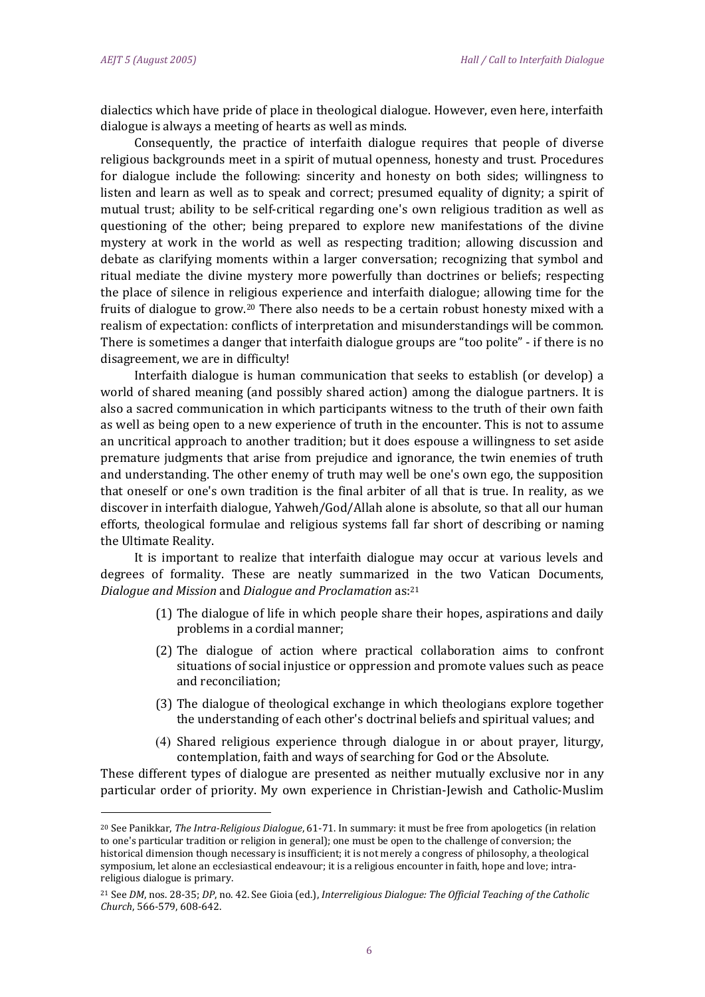-

dialectics which have pride of place in theological dialogue. However, even here, interfaith dialogue is always a meeting of hearts as well as minds.

Consequently, the practice of interfaith dialogue requires that people of diverse religious backgrounds meet in a spirit of mutual openness, honesty and trust. Procedures for dialogue include the following: sincerity and honesty on both sides; willingness to listen and learn as well as to speak and correct; presumed equality of dignity; a spirit of mutual trust; ability to be self-critical regarding one's own religious tradition as well as questioning of the other; being prepared to explore new manifestations of the divine mystery at work in the world as well as respecting tradition; allowing discussion and debate as clarifying moments within a larger conversation; recognizing that symbol and ritual mediate the divine mystery more powerfully than doctrines or beliefs; respecting the place of silence in religious experience and interfaith dialogue; allowing time for the fruits of dialogue to grow.<sup>20</sup> There also needs to be a certain robust honesty mixed with a realism of expectation: conflicts of interpretation and misunderstandings will be common. There is sometimes a danger that interfaith dialogue groups are "too polite" - if there is no disagreement, we are in difficulty!

Interfaith dialogue is human communication that seeks to establish (or develop) a world of shared meaning (and possibly shared action) among the dialogue partners. It is also a sacred communication in which participants witness to the truth of their own faith as well as being open to a new experience of truth in the encounter. This is not to assume an uncritical approach to another tradition; but it does espouse a willingness to set aside premature judgments that arise from prejudice and ignorance, the twin enemies of truth and understanding. The other enemy of truth may well be one's own ego, the supposition that oneself or one's own tradition is the final arbiter of all that is true. In reality, as we discover in interfaith dialogue, Yahweh/God/Allah alone is absolute, so that all our human efforts, theological formulae and religious systems fall far short of describing or naming the Ultimate Reality.

It is important to realize that interfaith dialogue may occur at various levels and degrees of formality. These are neatly summarized in the two Vatican Documents, *Dialogue and Mission* and *Dialogue and Proclamation* as:<sup>21</sup>

- (1) The dialogue of life in which people share their hopes, aspirations and daily problems in a cordial manner;
- (2) The dialogue of action where practical collaboration aims to confront situations of social injustice or oppression and promote values such as peace and reconciliation;
- (3) The dialogue of theological exchange in which theologians explore together the understanding of each other's doctrinal beliefs and spiritual values; and
- (4) Shared religious experience through dialogue in or about prayer, liturgy, contemplation, faith and ways of searching for God or the Absolute.

These different types of dialogue are presented as neither mutually exclusive nor in any particular order of priority. My own experience in Christian-Jewish and Catholic-Muslim

<sup>20</sup> See Panikkar, *The Intra-Religious Dialogue*, 61-71. In summary: it must be free from apologetics (in relation to one's particular tradition or religion in general); one must be open to the challenge of conversion; the historical dimension though necessary is insufficient; it is not merely a congress of philosophy, a theological symposium, let alone an ecclesiastical endeavour; it is a religious encounter in faith, hope and love; intrareligious dialogue is primary.

<sup>21</sup> See *DM*, nos. 28-35; *DP*, no. 42. See Gioia (ed.), *Interreligious Dialogue: The Official Teaching of the Catholic Church*, 566-579, 608-642.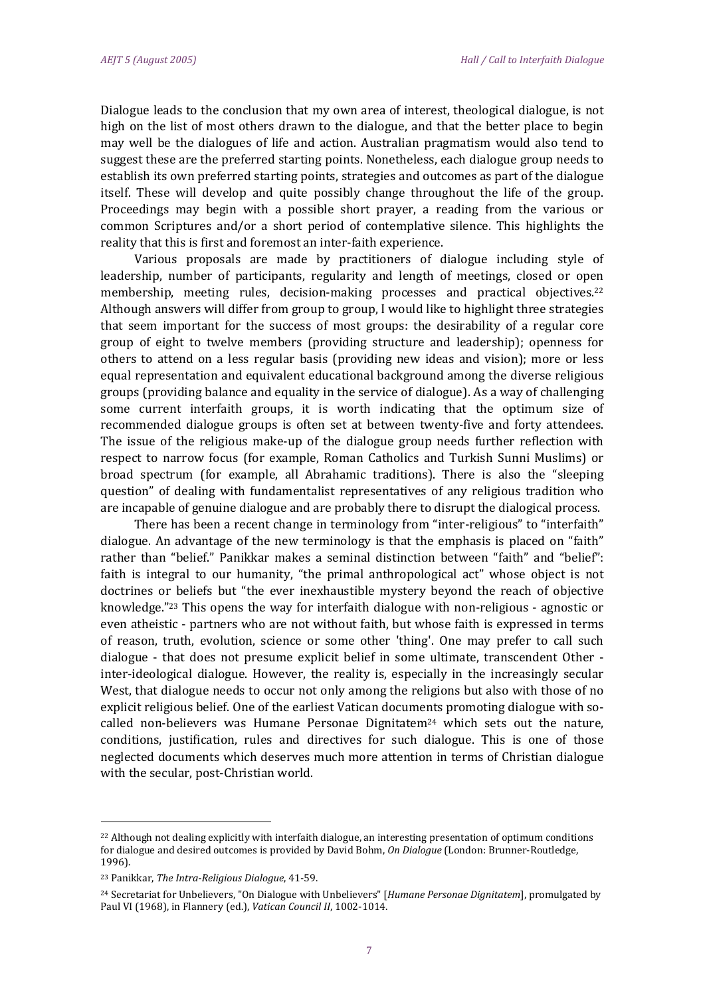Dialogue leads to the conclusion that my own area of interest, theological dialogue, is not high on the list of most others drawn to the dialogue, and that the better place to begin may well be the dialogues of life and action. Australian pragmatism would also tend to suggest these are the preferred starting points. Nonetheless, each dialogue group needs to establish its own preferred starting points, strategies and outcomes as part of the dialogue itself. These will develop and quite possibly change throughout the life of the group. Proceedings may begin with a possible short prayer, a reading from the various or common Scriptures and/or a short period of contemplative silence. This highlights the reality that this is first and foremost an inter-faith experience.

Various proposals are made by practitioners of dialogue including style of leadership, number of participants, regularity and length of meetings, closed or open membership, meeting rules, decision-making processes and practical objectives.<sup>22</sup> Although answers will differ from group to group, I would like to highlight three strategies that seem important for the success of most groups: the desirability of a regular core group of eight to twelve members (providing structure and leadership); openness for others to attend on a less regular basis (providing new ideas and vision); more or less equal representation and equivalent educational background among the diverse religious groups (providing balance and equality in the service of dialogue). As a way of challenging some current interfaith groups, it is worth indicating that the optimum size of recommended dialogue groups is often set at between twenty-five and forty attendees. The issue of the religious make-up of the dialogue group needs further reflection with respect to narrow focus (for example, Roman Catholics and Turkish Sunni Muslims) or broad spectrum (for example, all Abrahamic traditions). There is also the "sleeping question" of dealing with fundamentalist representatives of any religious tradition who are incapable of genuine dialogue and are probably there to disrupt the dialogical process.

There has been a recent change in terminology from "inter-religious" to "interfaith" dialogue. An advantage of the new terminology is that the emphasis is placed on "faith" rather than "belief." Panikkar makes a seminal distinction between "faith" and "belief": faith is integral to our humanity, "the primal anthropological act" whose object is not doctrines or beliefs but "the ever inexhaustible mystery beyond the reach of objective knowledge."<sup>23</sup> This opens the way for interfaith dialogue with non-religious - agnostic or even atheistic - partners who are not without faith, but whose faith is expressed in terms of reason, truth, evolution, science or some other 'thing'. One may prefer to call such dialogue - that does not presume explicit belief in some ultimate, transcendent Other inter-ideological dialogue. However, the reality is, especially in the increasingly secular West, that dialogue needs to occur not only among the religions but also with those of no explicit religious belief. One of the earliest Vatican documents promoting dialogue with socalled non-believers was Humane Personae Dignitatem $^{24}$  which sets out the nature, conditions, justification, rules and directives for such dialogue. This is one of those neglected documents which deserves much more attention in terms of Christian dialogue with the secular, post-Christian world.

-

<sup>22</sup> Although not dealing explicitly with interfaith dialogue, an interesting presentation of optimum conditions for dialogue and desired outcomes is provided by David Bohm, *On Dialogue* (London: Brunner-Routledge, 1996).

<sup>23</sup> Panikkar, *The Intra-Religious Dialogue*, 41-59.

<sup>24</sup> Secretariat for Unbelievers, "On Dialogue with Unbelievers" [*Humane Personae Dignitatem*], promulgated by Paul VI (1968), in Flannery (ed.), *Vatican Council II*, 1002-1014.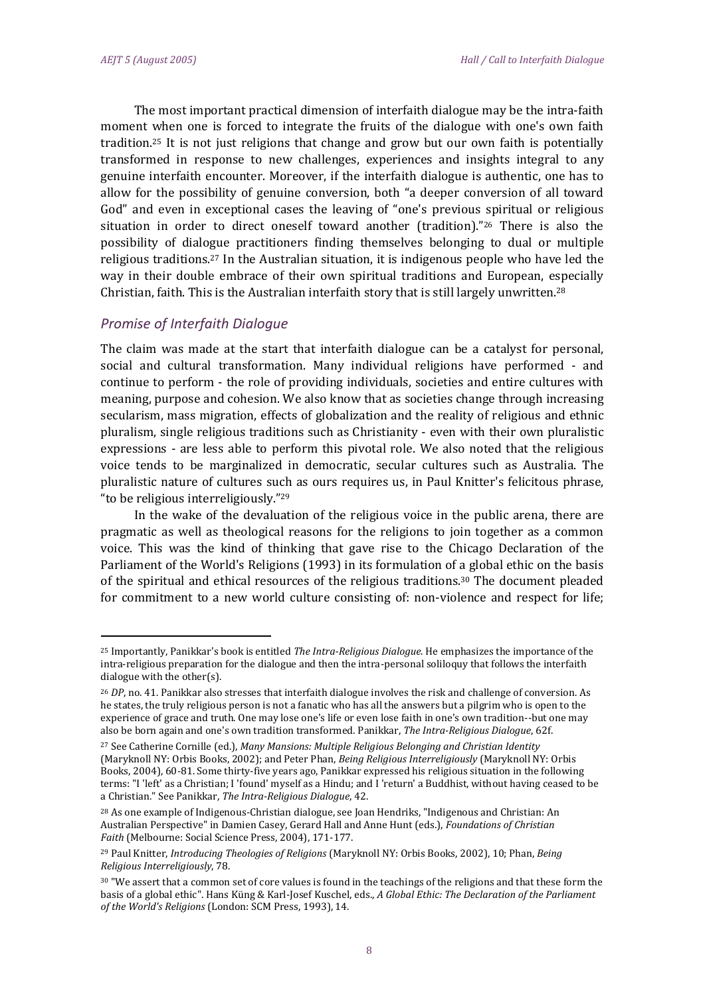The most important practical dimension of interfaith dialogue may be the intra-faith moment when one is forced to integrate the fruits of the dialogue with one's own faith tradition.<sup>25</sup> It is not just religions that change and grow but our own faith is potentially transformed in response to new challenges, experiences and insights integral to any genuine interfaith encounter. Moreover, if the interfaith dialogue is authentic, one has to allow for the possibility of genuine conversion, both "a deeper conversion of all toward God" and even in exceptional cases the leaving of "one's previous spiritual or religious situation in order to direct oneself toward another (tradition)."<sup>26</sup> There is also the possibility of dialogue practitioners finding themselves belonging to dual or multiple religious traditions.<sup>27</sup> In the Australian situation, it is indigenous people who have led the way in their double embrace of their own spiritual traditions and European, especially Christian, faith. This is the Australian interfaith story that is still largely unwritten.<sup>28</sup>

### *Promise of Interfaith Dialogue*

-

The claim was made at the start that interfaith dialogue can be a catalyst for personal, social and cultural transformation. Many individual religions have performed - and continue to perform - the role of providing individuals, societies and entire cultures with meaning, purpose and cohesion. We also know that as societies change through increasing secularism, mass migration, effects of globalization and the reality of religious and ethnic pluralism, single religious traditions such as Christianity - even with their own pluralistic expressions - are less able to perform this pivotal role. We also noted that the religious voice tends to be marginalized in democratic, secular cultures such as Australia. The pluralistic nature of cultures such as ours requires us, in Paul Knitter's felicitous phrase, "to be religious interreligiously."<sup>29</sup>

In the wake of the devaluation of the religious voice in the public arena, there are pragmatic as well as theological reasons for the religions to join together as a common voice. This was the kind of thinking that gave rise to the Chicago Declaration of the Parliament of the World's Religions (1993) in its formulation of a global ethic on the basis of the spiritual and ethical resources of the religious traditions.<sup>30</sup> The document pleaded for commitment to a new world culture consisting of: non-violence and respect for life;

<sup>25</sup> Importantly, Panikkar's book is entitled *The Intra-Religious Dialogue*. He emphasizes the importance of the intra-religious preparation for the dialogue and then the intra-personal soliloquy that follows the interfaith dialogue with the other(s).

<sup>26</sup> *DP*, no. 41. Panikkar also stresses that interfaith dialogue involves the risk and challenge of conversion. As he states, the truly religious person is not a fanatic who has all the answers but a pilgrim who is open to the experience of grace and truth. One may lose one's life or even lose faith in one's own tradition--but one may also be born again and one's own tradition transformed. Panikkar, *The Intra-Religious Dialogue*, 62f.

<sup>27</sup> See Catherine Cornille (ed.), *Many Mansions: Multiple Religious Belonging and Christian Identity* (Maryknoll NY: Orbis Books, 2002); and Peter Phan, *Being Religious Interreligiously* (Maryknoll NY: Orbis Books, 2004), 60-81. Some thirty-five years ago, Panikkar expressed his religious situation in the following terms: "I 'left' as a Christian; I 'found' myself as a Hindu; and I 'return' a Buddhist, without having ceased to be a Christian." See Panikkar, *The Intra-Religious Dialogue*, 42.

<sup>28</sup> As one example of Indigenous-Christian dialogue, see Joan Hendriks, "Indigenous and Christian: An Australian Perspective" in Damien Casey, Gerard Hall and Anne Hunt (eds.), *Foundations of Christian Faith* (Melbourne: Social Science Press, 2004), 171-177.

<sup>29</sup> Paul Knitter, *Introducing Theologies of Religions* (Maryknoll NY: Orbis Books, 2002), 10; Phan, *Being Religious Interreligiously*, 78.

<sup>&</sup>lt;sup>30</sup> "We assert that a common set of core values is found in the teachings of the religions and that these form the basis of a global ethic". Hans Küng & Karl-Josef Kuschel, eds., *A Global Ethic: The Declaration of the Parliament of the World's Religions* (London: SCM Press, 1993), 14.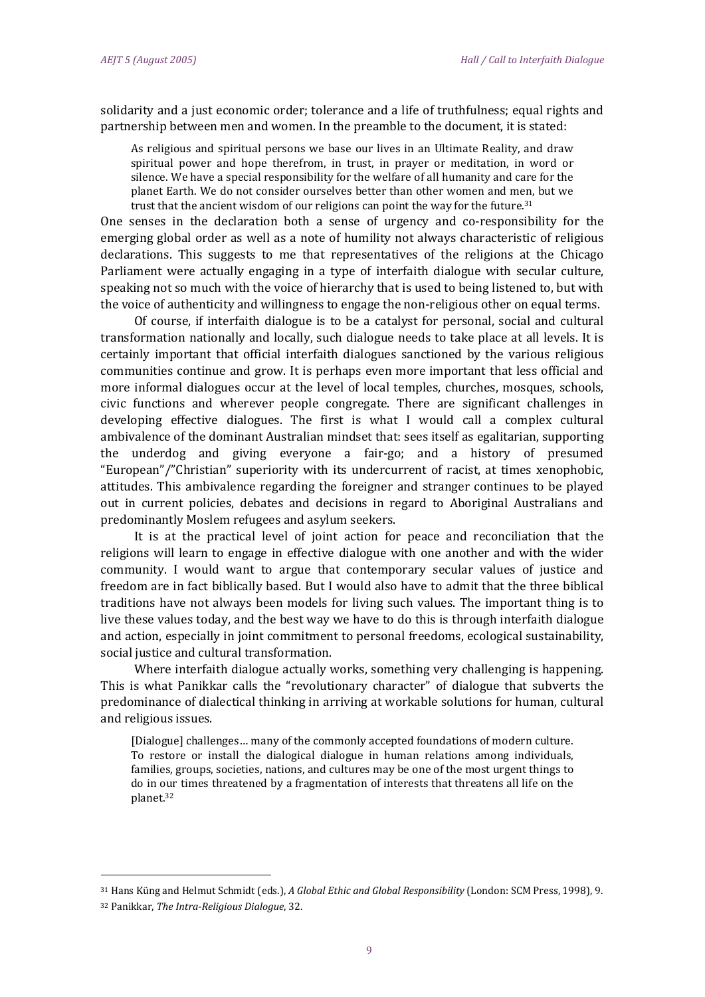<u>.</u>

solidarity and a just economic order; tolerance and a life of truthfulness; equal rights and partnership between men and women. In the preamble to the document, it is stated:

As religious and spiritual persons we base our lives in an Ultimate Reality, and draw spiritual power and hope therefrom, in trust, in prayer or meditation, in word or silence. We have a special responsibility for the welfare of all humanity and care for the planet Earth. We do not consider ourselves better than other women and men, but we trust that the ancient wisdom of our religions can point the way for the future. $31$ 

One senses in the declaration both a sense of urgency and co-responsibility for the emerging global order as well as a note of humility not always characteristic of religious declarations. This suggests to me that representatives of the religions at the Chicago Parliament were actually engaging in a type of interfaith dialogue with secular culture, speaking not so much with the voice of hierarchy that is used to being listened to, but with the voice of authenticity and willingness to engage the non-religious other on equal terms.

Of course, if interfaith dialogue is to be a catalyst for personal, social and cultural transformation nationally and locally, such dialogue needs to take place at all levels. It is certainly important that official interfaith dialogues sanctioned by the various religious communities continue and grow. It is perhaps even more important that less official and more informal dialogues occur at the level of local temples, churches, mosques, schools, civic functions and wherever people congregate. There are significant challenges in developing effective dialogues. The first is what I would call a complex cultural ambivalence of the dominant Australian mindset that: sees itself as egalitarian, supporting the underdog and giving everyone a fair-go; and a history of presumed "European"/"Christian" superiority with its undercurrent of racist, at times xenophobic, attitudes. This ambivalence regarding the foreigner and stranger continues to be played out in current policies, debates and decisions in regard to Aboriginal Australians and predominantly Moslem refugees and asylum seekers.

It is at the practical level of joint action for peace and reconciliation that the religions will learn to engage in effective dialogue with one another and with the wider community. I would want to argue that contemporary secular values of justice and freedom are in fact biblically based. But I would also have to admit that the three biblical traditions have not always been models for living such values. The important thing is to live these values today, and the best way we have to do this is through interfaith dialogue and action, especially in joint commitment to personal freedoms, ecological sustainability, social justice and cultural transformation.

Where interfaith dialogue actually works, something very challenging is happening. This is what Panikkar calls the "revolutionary character" of dialogue that subverts the predominance of dialectical thinking in arriving at workable solutions for human, cultural and religious issues.

[Dialogue] challenges… many of the commonly accepted foundations of modern culture. To restore or install the dialogical dialogue in human relations among individuals, families, groups, societies, nations, and cultures may be one of the most urgent things to do in our times threatened by a fragmentation of interests that threatens all life on the planet.<sup>32</sup>

<sup>31</sup> Hans Küng and Helmut Schmidt (eds.), *A Global Ethic and Global Responsibility* (London: SCM Press, 1998), 9. <sup>32</sup> Panikkar, *The Intra-Religious Dialogue*, 32.